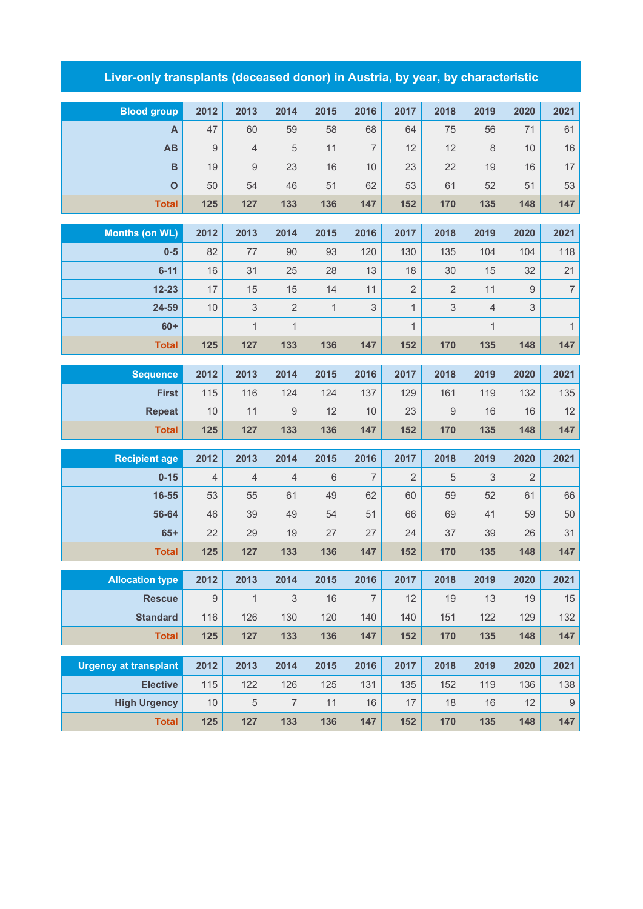## **Liver-only transplants (deceased donor) in Austria, by year, by characteristic**

| <b>Blood group</b>           | 2012       | 2013           | 2014           | 2015         | 2016           | 2017           | 2018             | 2019           | 2020 | 2021             |
|------------------------------|------------|----------------|----------------|--------------|----------------|----------------|------------------|----------------|------|------------------|
| A                            | 47         | 60             | 59             | 58           | 68             | 64             | 75               | 56             | 71   | 61               |
| AB                           | 9          | $\overline{4}$ | 5              | 11           | $\overline{7}$ | 12             | 12               | 8              | 10   | 16               |
| B                            | 19         | $\mathsf g$    | 23             | 16           | 10             | 23             | 22               | 19             | 16   | 17               |
| $\mathbf{o}$                 | 50         | 54             | 46             | 51           | 62             | 53             | 61               | 52             | 51   | 53               |
| <b>Total</b>                 | 125        | 127            | 133            | 136          | 147            | 152            | 170              | 135            | 148  | 147              |
|                              |            |                |                |              |                |                |                  |                |      |                  |
| <b>Months (on WL)</b>        | 2012       | 2013           | 2014           | 2015         | 2016           | 2017           | 2018             | 2019           | 2020 | 2021             |
| $0-5$                        | 82         | 77             | 90             | 93           | 120            | 130            | 135              | 104            | 104  | 118              |
| $6 - 11$                     | 16         | 31             | 25             | 28           | 13             | 18             | 30               | 15             | 32   | 21               |
| $12 - 23$                    | 17         | 15             | 15             | 14           | 11             | $\overline{2}$ | $\overline{2}$   | 11             | 9    | $\boldsymbol{7}$ |
| 24-59                        | 10         | $\mathsf 3$    | $\overline{2}$ | $\mathbf{1}$ | 3              | $\mathbf{1}$   | $\mathsf 3$      | $\overline{4}$ | 3    |                  |
| $60+$                        |            | $\mathbf{1}$   | $\mathbf{1}$   |              |                | $\mathbf{1}$   |                  | $\mathbf{1}$   |      | $\mathbf{1}$     |
| <b>Total</b>                 | 125        | 127            | 133            | 136          | 147            | 152            | 170              | 135            | 148  | 147              |
| <b>Sequence</b>              | 2012       | 2013           | 2014           | 2015         | 2016           | 2017           | 2018             | 2019           | 2020 | 2021             |
| <b>First</b>                 | 115        | 116            | 124            | 124          | 137            | 129            | 161              | 119            | 132  | 135              |
| <b>Repeat</b>                | 10         | 11             | 9              | 12           | 10             | 23             | $\boldsymbol{9}$ | 16             | 16   | 12               |
| <b>Total</b>                 | 125        | 127            | 133            | 136          | 147            | 152            | 170              | 135            | 148  | 147              |
| <b>Recipient age</b>         | 2012       | 2013           | 2014           | 2015         | 2016           | 2017           | 2018             | 2019           | 2020 | 2021             |
| $0 - 15$                     | 4          | $\overline{4}$ | $\overline{4}$ | 6            | 7              | $\overline{2}$ | 5                | 3              | 2    |                  |
| 16-55                        | 53         | 55             | 61             | 49           | 62             | 60             | 59               | 52             | 61   | 66               |
| 56-64                        | 46         | 39             | 49             | 54           | 51             | 66             | 69               | 41             | 59   | 50               |
| $65+$                        | 22         | 29             | 19             | 27           | 27             | 24             | 37               | 39             | 26   | 31               |
| <b>Total</b>                 | 125        | 127            | 133            | 136          | 147            | 152            | 170              | 135            | 148  | 147              |
|                              |            |                |                |              |                |                |                  |                |      |                  |
| <b>Allocation type</b>       | 2012       | 2013           | 2014           | 2015         | 2016           | 2017           | 2018             | 2019           | 2020 | 2021             |
| <b>Rescue</b>                | $\hbox{9}$ | $\mathbf{1}$   | $\mathfrak 3$  | 16           | $\overline{7}$ | 12             | 19               | 13             | 19   | $15\,$           |
| <b>Standard</b>              | 116        | 126            | 130            | 120          | 140            | 140            | 151              | 122            | 129  | 132              |
| <b>Total</b>                 | 125        | 127            | 133            | 136          | 147            | 152            | 170              | 135            | 148  | 147              |
| <b>Urgency at transplant</b> | 2012       | 2013           | 2014           | 2015         | 2016           | 2017           | 2018             | 2019           | 2020 | 2021             |
| <b>Elective</b>              | 115        | 122            | 126            | 125          | 131            | 135            | 152              | 119            | 136  | 138              |
| <b>High Urgency</b>          | 10         | $\overline{5}$ | $\overline{7}$ | 11           | 16             | 17             | 18               | 16             | 12   | $\boldsymbol{9}$ |
| <b>Total</b>                 | 125        | 127            | 133            | 136          | 147            | 152            | 170              | 135            | 148  | 147              |